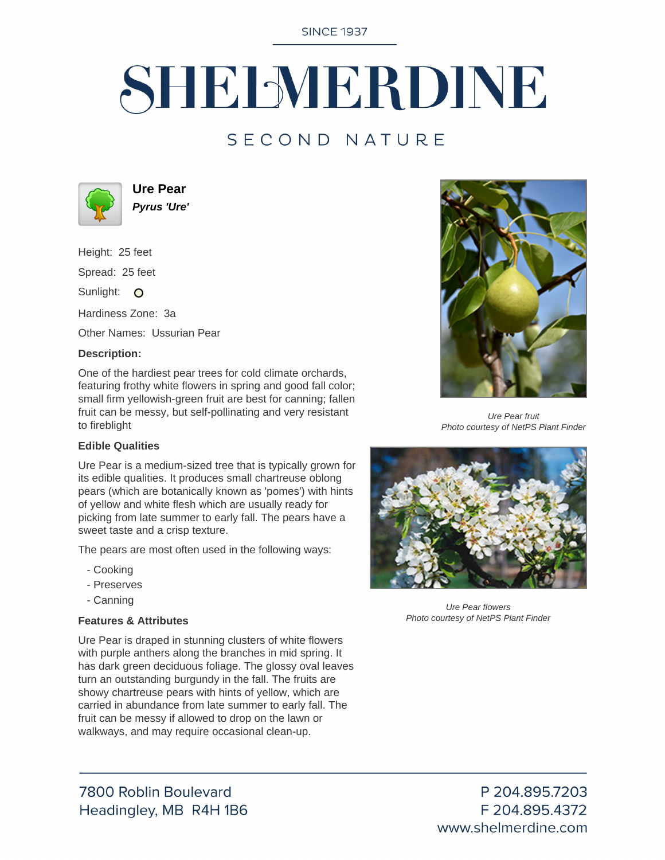**SINCE 1937** 

# SHELMERDINE

## SECOND NATURE



**Ure Pear Pyrus 'Ure'**

Height: 25 feet Spread: 25 feet Sunlight: O Hardiness Zone: 3a

Other Names: Ussurian Pear

#### **Description:**

One of the hardiest pear trees for cold climate orchards, featuring frothy white flowers in spring and good fall color; small firm yellowish-green fruit are best for canning; fallen fruit can be messy, but self-pollinating and very resistant to fireblight

#### **Edible Qualities**

Ure Pear is a medium-sized tree that is typically grown for its edible qualities. It produces small chartreuse oblong pears (which are botanically known as 'pomes') with hints of yellow and white flesh which are usually ready for picking from late summer to early fall. The pears have a sweet taste and a crisp texture.

The pears are most often used in the following ways:

- Cooking
- Preserves
- Canning

#### **Features & Attributes**

Ure Pear is draped in stunning clusters of white flowers with purple anthers along the branches in mid spring. It has dark green deciduous foliage. The glossy oval leaves turn an outstanding burgundy in the fall. The fruits are showy chartreuse pears with hints of yellow, which are carried in abundance from late summer to early fall. The fruit can be messy if allowed to drop on the lawn or walkways, and may require occasional clean-up.





Ure Pear fruit Photo courtesy of NetPS Plant Finder



Ure Pear flowers Photo courtesy of NetPS Plant Finder